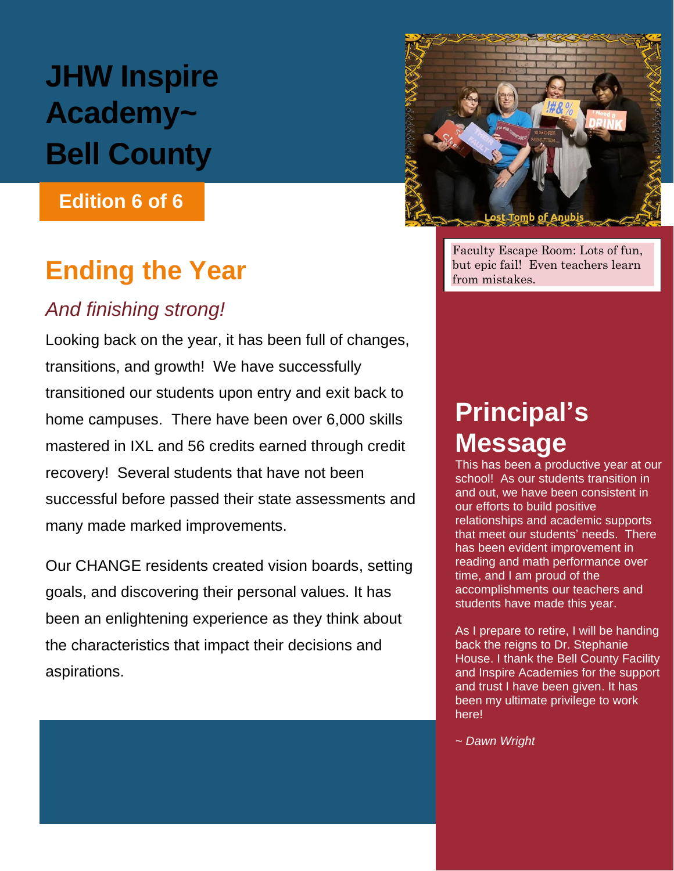# **JHW Inspire Academy~ Bell County**

### **Edition 6 of 6**

# **Ending the Year**

## *And finishing strong!*

Looking back on the year, it has been full of changes, transitions, and growth! We have successfully transitioned our students upon entry and exit back to home campuses. There have been over 6,000 skills mastered in IXL and 56 credits earned through credit recovery! Several students that have not been successful before passed their state assessments and many made marked improvements.

Our CHANGE residents created vision boards, setting goals, and discovering their personal values. It has been an enlightening experience as they think about the characteristics that impact their decisions and aspirations.



Faculty Escape Room: Lots of fun, but epic fail! Even teachers learn from mistakes.

# **Principal's Message**

This has been a productive year at our school! As our students transition in and out, we have been consistent in our efforts to build positive relationships and academic supports that meet our students' needs. There has been evident improvement in reading and math performance over time, and I am proud of the accomplishments our teachers and students have made this year.

As I prepare to retire, I will be handing back the reigns to Dr. Stephanie House. I thank the Bell County Facility and Inspire Academies for the support and trust I have been given. It has been my ultimate privilege to work here!

*~ Dawn Wright*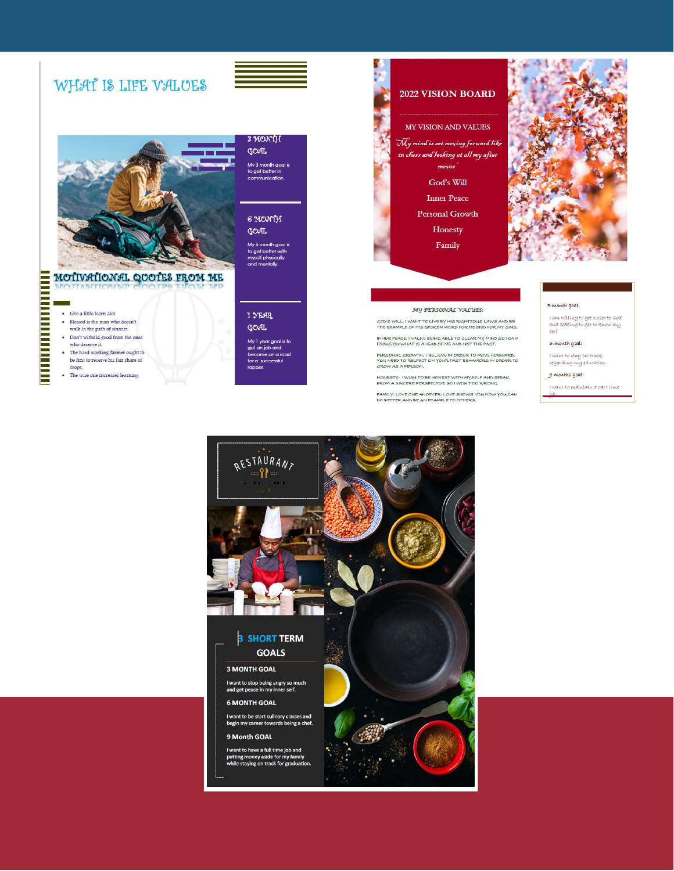### WHAT IS LIFE VALUES



### MOTIVATIONAL QUOTES FROM ME

#### $\bullet$  Live a little learn alot.

- 
- Blessed is the man who doesn't<br>walk in the path of sinners.
- Don't withold good from the ones who deserve it.
- The hard working farmer ought to be first to receive his fair share of crops.
- The wise one increases learning.

### 3 MONTH GOAL

in 1999.<br>Prima politika

My 3 month goal is<br>to get better in<br>communication.

#### 6 MONTH GOAL

My 6 month goal is<br>to get better with<br>myself physically<br>and mentally.

#### 1 YEAR

GOAL. My 1 year goal is to<br>get an job and<br>become on a road<br>for a successful rapper





#### MY PERSONAL VALUES:

GOD'S WILL: I WANT TO LIVE BY HIS RIGHTEOUS LAWS AND BE<br>THE EXAMPLE OF HIS SPOKEN WORD FOR HE DIED FOR MY SINS INNER PEACE: I VALUE BEING ABLE TO CLEAR MY MIND SO I CAN<br>FOCUS ON WHAT IS AHEAD OF ME AND NOT THE PAST.

PERSONAL GROWTH: I BELIEVE IN ORDER TO MOVE FORWARD,<br>YOU NEED TO RELFECT ON YOUR PAST BEHAVIORS IN ORDER TO<br>GROW AS A PERSON.

HONESTY: I WISH TO BE HONEST WITH MYSELF AND SPEAK<br>FROM A SINCERE PERSPECTIVE SO I WON'T DO WRONG.

FAMILY: LOVE ONE ANOTHER LOVE SHOWS YOU HOW YOU CAN<br>DO BETTER AND BE AN EXAMPLE TO OTHERS.

#### 3-month goal:

I am willing to get closer to God<br>and seeking to get to know my  $set$ 

#### 6-month goal:

l want to stay on track<br>regarding my education

#### $9$  months  $9001$ :

I want to maintain a part time



**UNIVERSITY AND** 

г